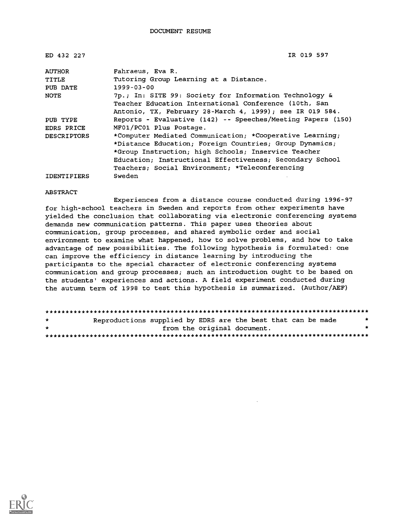| ED 432 227         | IR 019 597                                                  |
|--------------------|-------------------------------------------------------------|
| <b>AUTHOR</b>      | Fahraeus, Eva R.                                            |
| TITLE              | Tutoring Group Learning at a Distance.                      |
| PUB DATE           | $1999 - 03 - 00$                                            |
| <b>NOTE</b>        | 7p.; In: SITE 99: Society for Information Technology &      |
|                    | Teacher Education International Conference (10th, San       |
|                    | Antonio, TX, February 28-March 4, 1999); see IR 019 584.    |
| PUB TYPE           | Reports - Evaluative (142) -- Speeches/Meeting Papers (150) |
| EDRS PRICE         | MF01/PC01 Plus Postage.                                     |
| <b>DESCRIPTORS</b> | *Computer Mediated Communication; *Cooperative Learning;    |
|                    | *Distance Education; Foreign Countries; Group Dynamics;     |
|                    | *Group Instruction; high Schools; Inservice Teacher         |
|                    | Education; Instructional Effectiveness; Secondary School    |
|                    | Teachers; Social Environment; *Teleconferencing             |
| <b>IDENTIFIERS</b> | Sweden                                                      |

#### ABSTRACT

Experiences from a distance course conducted during 1996-97 for high-school teachers in Sweden and reports from other experiments have yielded the conclusion that collaborating via electronic conferencing systems demands new communication patterns. This paper uses theories about communication, group processes, and shared symbolic order and social environment to examine what happened, how to solve problems, and how to take advantage of new possibilities. The following hypothesis is formulated: one can improve the efficiency in distance learning by introducing the participants to the special character of electronic conferencing systems communication and group processes; such an introduction ought to be based on the students' experiences and actions. A field experiment conducted during the autumn term of 1998 to test this hypothesis is summarized. (Author/AEF)

| $\star$ | Reproductions supplied by EDRS are the best that can be made |                             |  |  |  |
|---------|--------------------------------------------------------------|-----------------------------|--|--|--|
| $\star$ |                                                              | from the original document. |  |  |  |
|         |                                                              |                             |  |  |  |

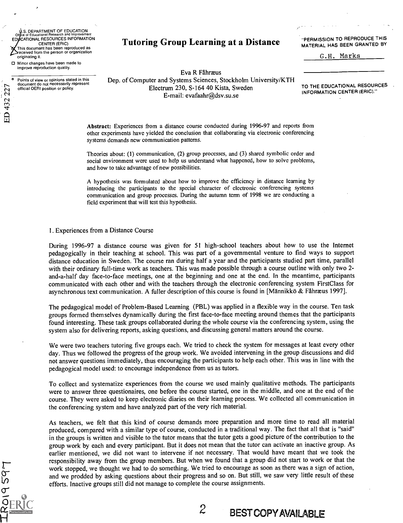S. DEPARTMENT OF EDUCATION Office of Educational Research and Improvement<br>EDUCATIONAL RESOURCES INFORMATION CENTER (ERIC) This document has been reproduced as eceived from the person or organization originating it.

0 Minor changes have been made to improve reproduction quality.

ED 432 227

o Points of view or opinions stated in this document do not necessarily represent official OERI position or policy.

### Tutoring Group Learning at a Distance

"PERMISSION TO REPRODUCE THIS MATERIAL HAS BEEN GRANTED BY

G.H. Marks

Eva R Fahrzeus Dep. of Computer and Systems Sciences, Stockholm University/KTH Electrum 230, S-164 40 Kista, Sweden E-mail: evafaahr@dsv.su.se

TO THE EDUCATIONAL RESOURCES INFORMATION CENTER (ERIC)."

Abstract: Experiences from a distance course conducted during 1996-97 and reports from other experiments have yielded the conclusion that collaborating via electronic conferencing systems demands new communication patterns.

Theories about: (1) communication, (2) group processes, and (3) shared symbolic order and social environment were used to help us understand what happened, how to solve problems, and how to take advantage of new possibilities.

A hypothesis was formulated about how to improve the efficiency in distance learning by introducing the participants to the special character of electronic conferencing systems communication and group processes. During the autumn term of 1998 we are conducting a field experiment that will test this hypothesis.

#### 1. Experiences from a Distance Course

During 1996-97 a distance course was given for 51 high-school teachers about how to use the Internet pedagogically in their teaching at school. This was part of a governmental venture to find ways to support distance education in Sweden. The course ran during half a year and the participants studied part time, parallel with their ordinary full-time work as teachers. This was made possible through a course outline with only two 2 and-a-half day face-to-face meetings, one at the beginning and one at the end. In the meantime, participants communicated with each other and with the teachers through the electronic conferencing system FirstClass for asynchronous text communication. A fuller description of this course is found in [Männikkö & Fåhræus 1997].

The pedagogical model of Problem-Based Learning (PBL) was applied in a flexible way in the course. Ten task groups formed themselves dynamically during the first face-to-face meeting around themes that the participants found interesting. These task groups collaborated during the whole course via the conferencing system, using the system also for delivering reports, asking questions, and discussing general matters around the course.

We were two teachers tutoring five groups each. We tried to check the system for messages at least every other day. Thus we followed the progress of the group work. We avoided intervening in the group discussions and did not answer questions immediately, thus encouraging the participants to help each other. This was in line with the pedagogical model used: to encourage independence from us as tutors.

To collect and systematize experiences from the course we used mainly qualitative methods. The participants were to answer three questionaires, one before the course started, one in the middle, and one at the end of the course. They were asked to keep electronic diaries on their learning process. We collected all communication in the conferencing system and have analyzed part of the very rich material.

As teachers, we felt that this kind of course demands more preparation and more time to read all material produced, compared with a similar type of course, conducted in a traditional way. The fact that all that is "said" in the groups is written and visible to the tutor means that the tutor gets a good picture of the contribution to the group work by each and every participant. But it does not mean that the tutor can activate an inactive group. As earlier mentioned, we did not want to intervene if not necessary. That would have meant that we took the responsibility away from the group members. But when we found that a group did not start to work or that the work stopped, we thought we had to do something. We tried to encourage as soon as there was a sign of action, and we prodded by asking questions about their progress and so on. But still, we saw very little result of these efforts. Inactive groups still did not manage to complete the course assignments.

 $2$  BEST COPY AVAILABLE

RO19597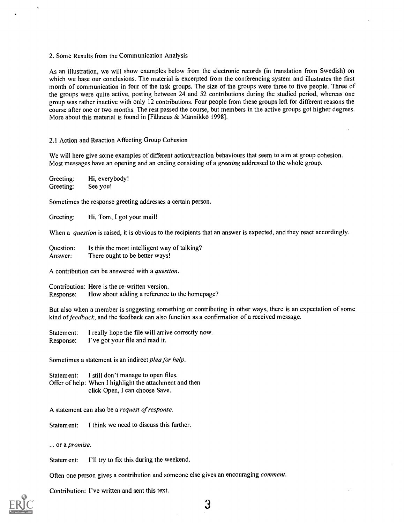#### 2. Some Results from the Communication Analysis

As an illustration, we will show examples below from the electronic records (in translation from Swedish) on which we base our conclusions. The material is excerpted from the conferencing system and illustrates the first month of communication in four of the task groups. The size of the groups were three to five people. Three of the groups were quite active, posting between 24 and 52 contributions during the studied period, whereas one group was rather inactive with only 12 contributions. Four people from these groups left for different reasons the course after one or two months. The rest passed the course, but members in the active groups got higher degrees. More about this material is found in [Fåhræus  $\&$  Männikkö 1998].

#### 2.1 Action and Reaction Affecting Group Cohesion

We will here give some examples of different action/reaction behaviours that seem to aim at group cohesion. Most messages have an opening and an ending consisting of a greeting addressed to the whole group.

Greeting: Hi, everybody!<br>Greeting: See you! Greeting:

Sometimes the response greeting addresses a certain person.

Greeting: Hi, Tom, I got your mail!

When a question is raised, it is obvious to the recipients that an answer is expected, and they react accordingly.

Question: Is this the most intelligent way of talking?<br>Answer: There ought to be better ways! There ought to be better ways!

A contribution can be answered with a question.

Contribution: Here is the re-written version. Response: How about adding a reference to the homepage?

But also when a member is suggesting something or contributing in other ways, there is an expectation of some kind of feedback, and the feedback can also function as a confirmation of a received message.

Statement: I really hope the file will arrive correctly now. Response: I've got your file and read it.

Sometimes a statement is an indirect plea for help.

Statement: I still don't manage to open files. Offer of help: When I highlight the attachment and then click Open, I can choose Save.

A statement can also be a request of response.

Statement: I think we need to discuss this further.

... or a promise.

Statement: I'll try to fix this during the weekend.

Often one person gives a contribution and someone else gives an encouraging comment.

Contribution: I've written and sent this text.



3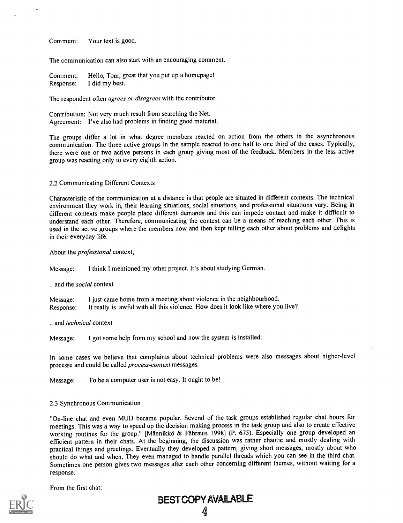Comment: Your text is good.

The communication can also start with an encouraging comment.

Comment: Hello, Tom, great that you put up a homepage! Response: I did my best.

The respondent often *agrees or disagrees* with the contributor.

Contribution: Not very much result from searching the Net. Agreement: I've also had problems in finding good material.

The groups differ a lot in what degree members reacted on action from the others in the asynchronous communication. The three active groups in the sample reacted to one half to one third of the cases. Typically, there were one or two active persons in each group giving most of the feedback. Members in the less active group was reacting only to every eighth action.

#### 2.2 Communicating Different Contexts

Characteristic of the communication at a distance is that people are situated in different contexts. The technical environment they work in, their learning situations, social situations, and professional situations vary. Being in different contexts make people place different demands and this can impede contact and make it difficult to understand each other. Therefore, communicating the context can be a means of reaching each other. This is used in the active groups where the members now and then kept telling each other about problems and delights in their everyday life.

#### About the professional context,

Message: I think I mentioned my other project. It's about studying German.

.. and the social context

Message: I just came home from a meeting about violence in the neighbourhood. Response: It really is awful with all this violence. How does it look like where you live?

.. and *technical* context

Message: I got some help from my school and now the system is installed.

In some cases we believe that complaints about technical problems were also messages about higher-level processe and could be called process-context messages.

Message: To be a computer user is not easy. It ought to be!

#### 2.3 Synchronous Communication

"On-line chat and even MUD became popular. Several of the task groups established regular chat hours for meetings. This was a way to speed up the decision making process in the task group and also to create effective working routines for the group." [Männikkö & Fåhræus 1998] (P. 675). Especially one group developed an efficient pattern in their chats. At the beginning, the discussion was rather chaotic and mostly dealing with practical things and greetings. Eventually they developed a pattern, giving short messages, mostly about who should do what and when. They even managed to handle parallel threads which you can see in the third chat. Sometimes one person gives two messages after each other concerning different themes, without waiting for a response.

From the first chat:



BESTCOPYAVAILABLE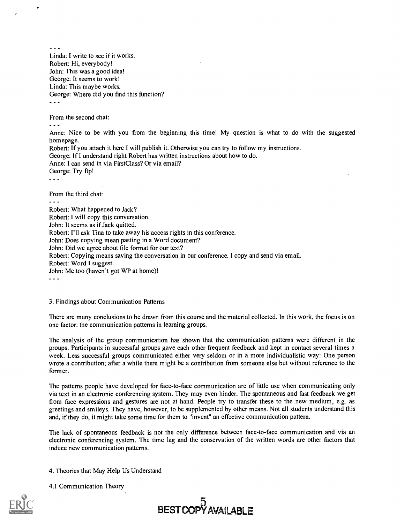$\sim$ Linda: I write to see if it works. Robert: Hi, everybody! John: This was a good idea! George: It seems to work! Linda: This maybe works. George: Where did you find this function?  $\ddotsc$ 

From the second chat:

- -

Anne: Nice to be with you from the beginning this time! My question is what to do with the suggested homepage.

Robert: If you attach it here I will publish it. Otherwise you can try to follow my instructions.

George: If I understand right Robert has written instructions about how to do.

Anne: I can send in via FirstClass? Or via email? George: Try ftp!

 $- - -$ 

From the third chat:

- - Robert: What happened to Jack? Robert: I will copy this conversation. John: It seems as if Jack quitted. Robert: I'll ask Tina to take away his access rights in this conference. John: Does copying mean pasting in a Word document? John: Did we agree about file format for our text? Robert: Copying means saving the conversation in our conference. I copy and send via email. Robert: Word I suggest. John: Me too (haven't got WP at home)!  $\sim$   $\sim$   $\sim$ 

3. Findings about Communication Patterns

There are many conclusions to be drawn from this course and the material collected. In this work, the focus is on one factor: the communication patterns in learning groups.

The analysis of the group communication has shown that the communication patterns were different in the groups. Participants in successful groups gave each other frequent feedback and kept in contact several times a week. Less successful groups communicated either very seldom or in a more individualistic way: One person wrote a contribution; after a while there might be a contribution from someone else but without reference to the form er.

The patterns people have developed for face-to-face communication are of little use when communicating only via text in an electronic conferencing system. They may even hinder. The spontaneous and fast feedback we get from face expressions and gestures are not at hand. People try to transfer these to the new medium, e.g. as greetings and smileys. They have, however, to be supplemented by other means. Not all students understand this and, if they do, it might take some time for them to "invent" an effective communication pattern.

The lack of spontaneous feedback is not the only difference between face-to-face communication and via an electronic conferencing system. The time lag and the conservation of the written words are other factors that induce new communication patterns.

4. Theories that May Help Us Understand

4.1 Communication Theory



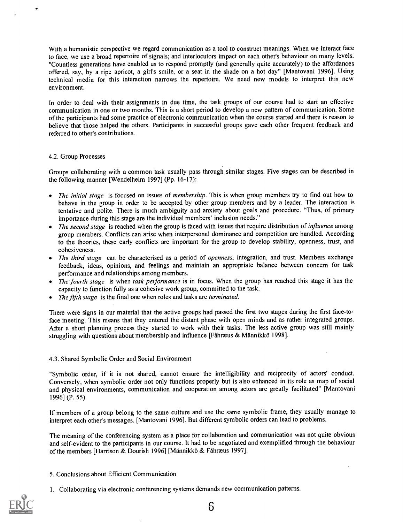With a humanistic perspective we regard communication as a tool to construct meanings. When we interact face to face, we use a broad repertoire of signals; and interlocutors impact on each other's behaviour on many levels. "Countless generations have enabled us to respond promptly (and generally quite accurately) to the affordances offered, say, by a ripe apricot, a girl's smile, or a seat in the shade on a hot day" [Mantovani 1996]. Using technical media for this interaction narrows the repertoire. We need new models to interpret this new env ironment.

In order to deal with their assignments in due time, the task groups of our course had to start an effective communication in one or two months. This is a short period to develop a new pattern of communication. Some of the participants had some practice of electronic communication when the course started and there is reason to believe that those helped the others. Participants in successful groups gave each other frequent feedback and referred to other's contributions.

#### 4.2. Group Processes

Groups collaborating with a common task usually pass through similar stages. Five stages can be described in the following manner [Wendelheim 1997] (Pp. 16-17):

- The initial stage is focused on issues of membership. This is when group members try to find out how to behave in the group in order to be accepted by other group members and by a leader. The interaction is tentative and polite. There is much ambiguity and anxiety about goals and procedure. "Thus, of primary importance during this stage are the individual members' inclusion needs."
- The second stage is reached when the group is faced with issues that require distribution of *influence* among group members. Conflicts can arise when interpersonal dominance and competition are handled. According to the theories, these early conflicts are important for the group to develop stability, openness, trust, and cohesiveness.
- The third stage can be characterised as a period of openness, integration, and trust. Members exchange feedback, ideas, opinions, and feelings and maintain an appropriate balance between concern for task performance and relationships among members.
- The fourth stage is when task performance is in focus. When the group has reached this stage it has the capacity to function fully as a cohesive work group, committed to the task.
- The fifth stage is the final one when roles and tasks are *terminated*.

There were signs in our material that the active groups had passed the first two stages during the first face-toface meeting. This means that they entered the distant phase with open minds and as rather integrated groups. After a short planning process they started to work with their tasks. The less active group was still mainly struggling with questions about membership and influence [Fåhræus & Männikkö 1998].

#### 4.3. Shared Symbolic Order and Social Environment

"Symbolic order, if it is not shared, cannot ensure the intelligibility and reciprocity of actors' conduct. Conversely, when symbolic order not only functions properly but is also enhanced in its role as map of social and physical environments, communication and cooperation among actors are greatly facilitated" [Mantovani 1996] (P. 55).

If members of a group belong to the same culture and use the same symbolic frame, they usually manage to interpret each other's messages. [Mantovani 1996]. But different symbolic orders can lead to problems.

The meaning of the conferencing system as a place for collaboration and communication was not quite obvious and self-evident to the participants in our course. It had to be negotiated and exemplified through the behaviour of the members [Harrison & Dourish 1996] [Männikkö & Fåhræus 1997].

- 5. Conclusions about Efficient Communication
- 1. Collaborating via electronic conferencing systems demands new communication patterns.

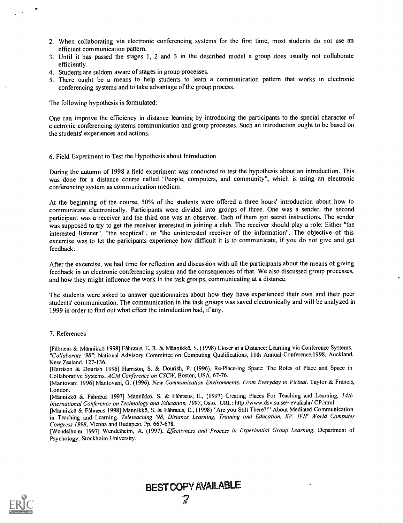- 2. When collaborating via electronic conferencing systems for the first time, most students do not use an efficient communication pattern.
- 3. Until it has passed the stages 1, 2 and 3 in the described model a group does usually not collaborate efficiently.
- 4. Students are seldom aware of stages in group processes.
- 5. There ought be a means to help students to learn a communication pattern that works in electronic conferencing systems and to take advantage of the group process.

The following hypothesis is formulated:

One can improve the efficiency in distance learning by introducing the participants to the special character of electronic conferencing systems communication and group processes. Such an introduction ought to be based on the students' experiences and actions.

#### 6. Field Experiment to Test the Hypothesis about Introduction

During the autumn of 1998 a field experiment was conducted to test the hypothesis about an introduction. This was done for a distance course called "People, computers, and community", which is using an electronic conferencing system as communication medium.

At the beginning of the course, 50% of the students were offered a three hours' introduction about how to communicate electronically. Participants were divided into groups of three. One was a sender, the second participant was a receiver and the third one was an observer. Each of them got secret instructions. The sender was supposed to try to get the receiver interested in joining a club. The receiver should play a role: Either "the interested listener", "the sceptical", or "the uninterested receiver of the information". The objective of this excercise was to let the paricipants experience how difficult it is to communicate, if you do not give and get feedback.

After the excercise, we had time for reflection and discussion with all the participants about the means of giving feedback in an electronic conferencing system and the consequences of that. We also discussed group processes, and how they might influence the work in the task groups, communicating at a distance.

The students were asked to answer questionnaires about how they have experienced their own and their peer students' communication. The communication in the task groups was saved electronically and will be analyzed in 1999 in order to find out what effect the introduction had, if any.

#### 7. References

[Fåhræus & Männikkö 1998] Fåhræus, E. R. & Männikkö, S. (1998) Closer at a Distance: Learning via Conference Systems. "Collaborate '98"; National Advisory Committee on Computing Qualifications, 11th Annual Conference, 1998, Auckland, New Zealand. 127-136.

[Harrison & Dourish 1996] Harrison, S. & Dourish, P. (1996). Re-Place-ing Space: The Roles of Place and Space in Collaborative Systems. ACM Conference on CSCW, Boston, USA. 67-76.

[Mantovani 1996] Mantovani, G. (1996). New Communication Environments. From Everyday to Virtual. Taylor & Francis, London.

[Männikkö & Fåhræus 1997] Männikkö, S. & Fåhræus, E., (1997) Creating Places For Teaching and Learning, 14th International Conference on Technology and Education, 1997, Oslo. URL: http://www.dsv.su.set--evafaahr/ CP.html

[Männikkö & Fahræus 1998] Männikkö, S. & Fahræus, E., (1998) "Are you Still There?!" About Mediated Communication in Teaching and Learning. Teleteaching '98, Distance Learning, Training and Education, XV. IFIP World Computer Congress 1998, Vienna and Budapest. Pp. 667-678.

[Wendelheim 1997] Wendelheim, A. (1997). Effectivness and Process in Experiential Group Learning. Department of Psychology, Stockholm University.



BEST COPY AVAILABLE